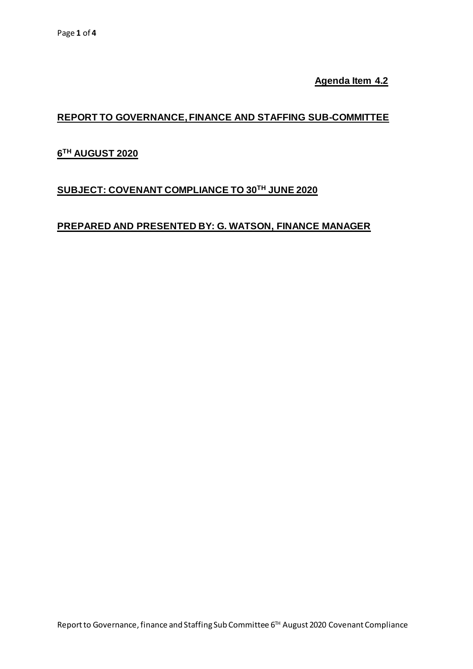**Agenda Item 4.2**

## **REPORT TO GOVERNANCE, FINANCE AND STAFFING SUB-COMMITTEE**

# **6 TH AUGUST 2020**

# **SUBJECT: COVENANT COMPLIANCE TO 30 TH JUNE 2020**

### **PREPARED AND PRESENTED BY: G. WATSON, FINANCE MANAGER**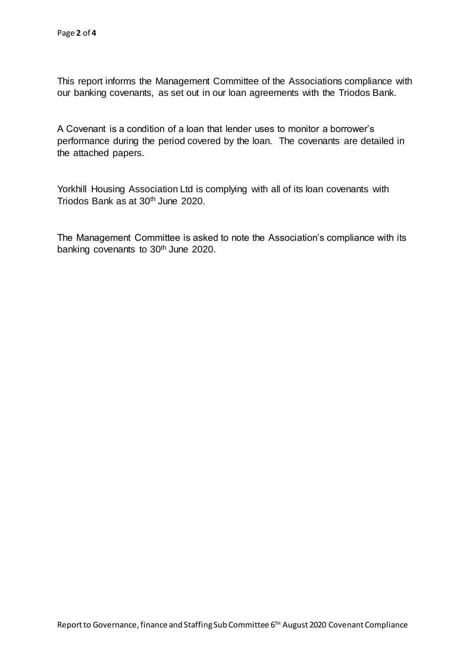This report informs the Management Committee of the Associations compliance with our banking covenants, as set out in our loan agreements with the Triodos Bank.

A Covenant is a condition of a loan that lender uses to monitor a borrower's performance during the period covered by the loan. The covenants are detailed in the attached papers.

Yorkhill Housing Association Ltd is complying with all of its loan covenants with Triodos Bank as at 30<sup>th</sup> June 2020.

The Management Committee is asked to note the Association's compliance with its banking covenants to 30<sup>th</sup> June 2020.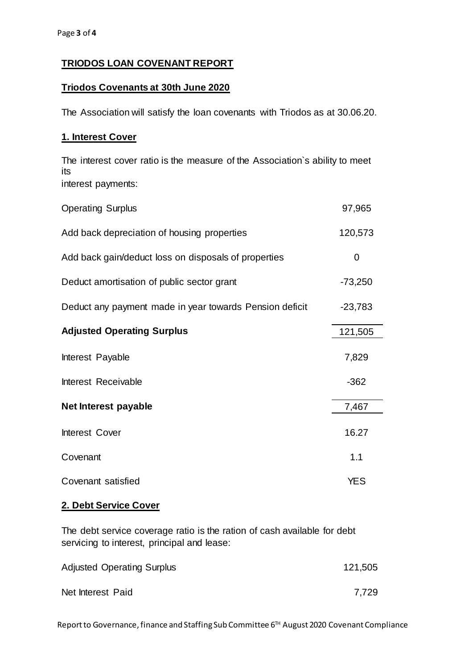### **TRIODOS LOAN COVENANT REPORT**

#### **Triodos Covenants at 30th June 2020**

The Association will satisfy the loan covenants with Triodos as at 30.06.20.

#### **1. Interest Cover**

The interest cover ratio is the measure of the Association`s ability to meet its interest payments:

| <b>Operating Surplus</b>                                | 97,965     |
|---------------------------------------------------------|------------|
| Add back depreciation of housing properties             | 120,573    |
| Add back gain/deduct loss on disposals of properties    | 0          |
| Deduct amortisation of public sector grant              | $-73,250$  |
| Deduct any payment made in year towards Pension deficit | $-23,783$  |
| <b>Adjusted Operating Surplus</b>                       | 121,505    |
| Interest Payable                                        | 7,829      |
| Interest Receivable                                     | $-362$     |
| Net Interest payable                                    | 7,467      |
| Interest Cover                                          | 16.27      |
| Covenant                                                | 1.1        |
| Covenant satisfied                                      | <b>YES</b> |

#### **2. Debt Service Cover**

The debt service coverage ratio is the ration of cash available for debt servicing to interest, principal and lease:

| <b>Adjusted Operating Surplus</b> | 121,505 |
|-----------------------------------|---------|
| Net Interest Paid                 | 7,729   |